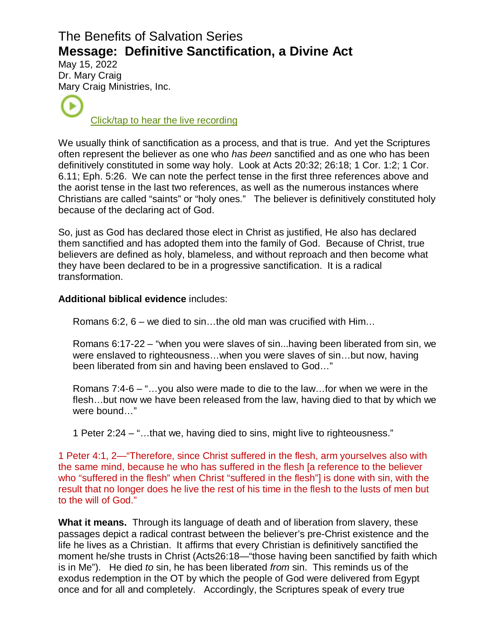## The Benefits of Salvation Series **Message: Definitive Sanctification, a Divine Act**

May 15, 2022 Dr. Mar[y Cra](https://www.podbean.com/ew/pb-dnaif-122c549)ig Mary Craig Ministries, Inc.

[Click/tap to hear the live recording](https://www.podbean.com/ew/pb-dnaif-122c549)

We usually think of sanctification as a process, and that is true. And yet the Scriptures often represent the believer as one who has been sanctified and as one who has been definitively constituted in some way holy. Look at Acts 20:32; 26:18; 1 Cor. 1:2; 1 Cor. 6.11; Eph. 5:26. We can note the perfect tense in the first three references above and the aorist tense in the last two references, as well as the numerous instances where Christians are called "saints" or "holy ones." The believer is definitively constituted holy because of the declaring act of God.

So, just as God has declared those elect in Christ as justified, He also has declared them sanctified and has adopted them into the family of God. Because of Christ, true believers are defined as holy, blameless, and without reproach and then become what they have been declared to be in a progressive sanctification. It is a radical transformation.

## **Additional biblical evidence** includes:

Romans 6:2, 6 – we died to sin…the old man was crucified with Him…

Romans 6:17-22 – "when you were slaves of sin...having been liberated from sin, we were enslaved to righteousness…when you were slaves of sin…but now, having been liberated from sin and having been enslaved to God…"

Romans 7:4-6 – "…you also were made to die to the law…for when we were in the flesh…but now we have been released from the law, having died to that by which we were bound…"

1 Peter 2:24 – "…that we, having died to sins, might live to righteousness."

1 Peter 4:1, 2—"Therefore, since Christ suffered in the flesh, arm yourselves also with the same mind, because he who has suffered in the flesh [a reference to the believer who "suffered in the flesh" when Christ "suffered in the flesh"] is done with sin, with the result that no longer does he live the rest of his time in the flesh to the lusts of men but to the will of God."

**What it means.** Through its language of death and of liberation from slavery, these passages depict a radical contrast between the believer's pre-Christ existence and the life he lives as a Christian. It affirms that every Christian is definitively sanctified the moment he/she trusts in Christ (Acts26:18—"those having been sanctified by faith which is in Me"). He died to sin, he has been liberated from sin. This reminds us of the exodus redemption in the OT by which the people of God were delivered from Egypt once and for all and completely. Accordingly, the Scriptures speak of every true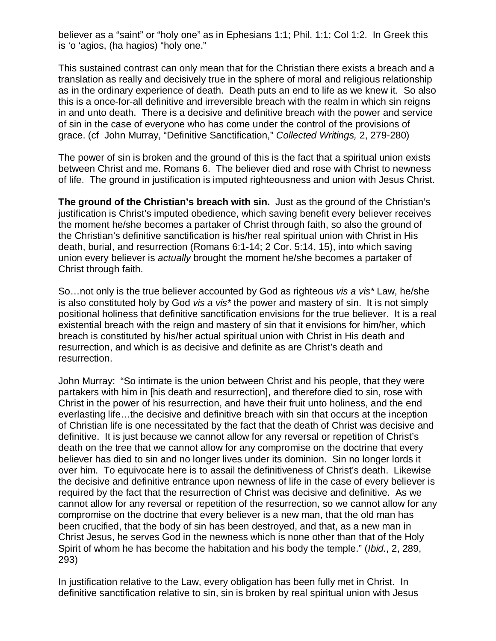believer as a "saint" or "holy one" as in Ephesians 1:1; Phil. 1:1; Col 1:2. In Greek this is 'o 'agios, (ha hagios) "holy one."

This sustained contrast can only mean that for the Christian there exists a breach and a translation as really and decisively true in the sphere of moral and religious relationship as in the ordinary experience of death. Death puts an end to life as we knew it. So also this is a once-for-all definitive and irreversible breach with the realm in which sin reigns in and unto death. There is a decisive and definitive breach with the power and service of sin in the case of everyone who has come under the control of the provisions of grace. (cf John Murray, "Definitive Sanctification," Collected Writings, 2, 279-280)

The power of sin is broken and the ground of this is the fact that a spiritual union exists between Christ and me. Romans 6. The believer died and rose with Christ to newness of life. The ground in justification is imputed righteousness and union with Jesus Christ.

**The ground of the Christian's breach with sin.** Just as the ground of the Christian's justification is Christ's imputed obedience, which saving benefit every believer receives the moment he/she becomes a partaker of Christ through faith, so also the ground of the Christian's definitive sanctification is his/her real spiritual union with Christ in His death, burial, and resurrection (Romans 6:1-14; 2 Cor. 5:14, 15), into which saving union every believer is actually brought the moment he/she becomes a partaker of Christ through faith.

So…not only is the true believer accounted by God as righteous vis a vis\* Law, he/she is also constituted holy by God vis a vis<sup>\*</sup> the power and mastery of sin. It is not simply positional holiness that definitive sanctification envisions for the true believer. It is a real existential breach with the reign and mastery of sin that it envisions for him/her, which breach is constituted by his/her actual spiritual union with Christ in His death and resurrection, and which is as decisive and definite as are Christ's death and resurrection.

John Murray: "So intimate is the union between Christ and his people, that they were partakers with him in [his death and resurrection], and therefore died to sin, rose with Christ in the power of his resurrection, and have their fruit unto holiness, and the end everlasting life…the decisive and definitive breach with sin that occurs at the inception of Christian life is one necessitated by the fact that the death of Christ was decisive and definitive. It is just because we cannot allow for any reversal or repetition of Christ's death on the tree that we cannot allow for any compromise on the doctrine that every believer has died to sin and no longer lives under its dominion. Sin no longer lords it over him. To equivocate here is to assail the definitiveness of Christ's death. Likewise the decisive and definitive entrance upon newness of life in the case of every believer is required by the fact that the resurrection of Christ was decisive and definitive. As we cannot allow for any reversal or repetition of the resurrection, so we cannot allow for any compromise on the doctrine that every believer is a new man, that the old man has been crucified, that the body of sin has been destroyed, and that, as a new man in Christ Jesus, he serves God in the newness which is none other than that of the Holy Spirit of whom he has become the habitation and his body the temple." (Ibid., 2, 289, 293)

In justification relative to the Law, every obligation has been fully met in Christ. In definitive sanctification relative to sin, sin is broken by real spiritual union with Jesus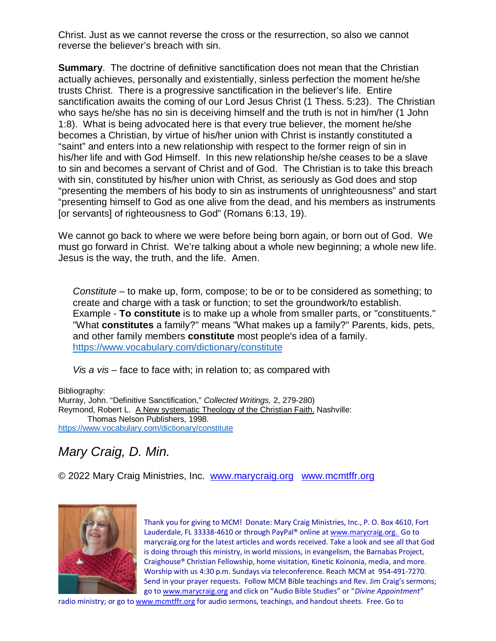Christ. Just as we cannot reverse the cross or the resurrection, so also we cannot reverse the believer's breach with sin.

**Summary.** The doctrine of definitive sanctification does not mean that the Christian actually achieves, personally and existentially, sinless perfection the moment he/she trusts Christ. There is a progressive sanctification in the believer's life. Entire sanctification awaits the coming of our Lord Jesus Christ (1 Thess. 5:23). The Christian who says he/she has no sin is deceiving himself and the truth is not in him/her (1 John 1:8). What is being advocated here is that every true believer, the moment he/she becomes a Christian, by virtue of his/her union with Christ is instantly constituted a "saint" and enters into a new relationship with respect to the former reign of sin in his/her life and with God Himself. In this new relationship he/she ceases to be a slave to sin and becomes a servant of Christ and of God. The Christian is to take this breach with sin, constituted by his/her union with Christ, as seriously as God does and stop "presenting the members of his body to sin as instruments of unrighteousness" and start "presenting himself to God as one alive from the dead, and his members as instruments [or servants] of righteousness to God" (Romans 6:13, 19).

We cannot go back to where we were before being born again, or born out of God. We must go forward in Christ. We're talking about a whole new beginning; a whole new life. Jesus is the way, the truth, and the life. Amen.

Constitute – to make up, form, compose; to be or to be considered as something; to create and charge with a task or function; to set the groundwork/to establish. Example - **To constitute** is to make up a whole from smaller parts, or "constituents." "What **constitutes** a family?" means "What makes up a family?" Parents, kids, pets, and other family members **constitute** most people's idea of a family. <https://www.vocabulary.com/dictionary/constitute>

Vis a vis – face to face with; in relation to; as compared with

Bibliography: Murray, John. "Definitive Sanctification," Collected Writings, 2, 279-280) Reymond, Robert L. A New systematic Theology of the Christian Faith. Nashville: Thomas Nelson Publishers, 1998. <https://www.vocabulary.com/dictionary/constitute>

## Mary Craig, D. Min.

© 2022 Mary Craig Ministries, Inc. [www.marycraig.org www.mcmtffr.org](http://www.marycraig.org/) 



Thank you for giving to MCM! Donate: Mary Craig Ministries, Inc., P. O. Box 4610, Fort Lauderdale, FL 33338-4610 or through PayPal® online at [www.marycraig.org](http://www.marycraig.org/index.html). Go to marycraig.org for the latest articles and words received. Take a look and see all that God is doing through this ministry, in world missions, in evangelism, the Barnabas Project, Craighouse® Christian Fellowship, home visitation, Kinetic Koinonia, media, and more. Worship with us 4:30 p.m. Sundays via teleconference. Reach MCM at 954-491-7270. Send in your prayer requests. Follow MCM Bible teachings and Rev. Jim Craig's sermons; go to [www.marycraig.org and click on "Audio Bible Studies" or "](http://www.marycraig.org/)Divine Appointment"

radio ministry; or go to www.mcmtffr.org for audio sermons, teachings, and handout sheets. Free. Go to